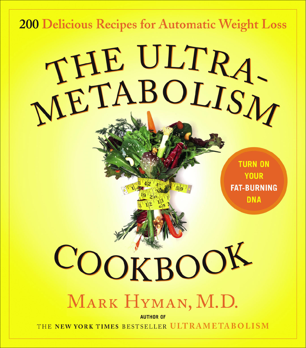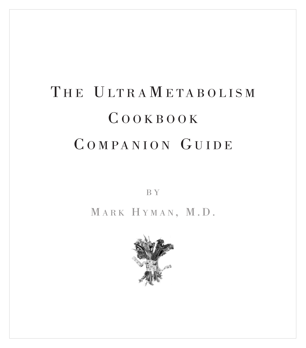# THE ULTRAMETABOLISM C OOKBOOK C OMPANION GUIDE

B Y

MARK HYMAN, M.D.

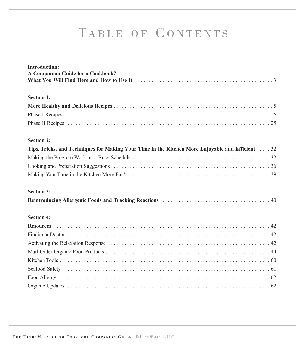# TABLE OF C ONTENTS

| <b>Introduction:</b>                                                                             |
|--------------------------------------------------------------------------------------------------|
| A Companion Guide for a Cookbook?                                                                |
|                                                                                                  |
|                                                                                                  |
| <b>Section 1:</b>                                                                                |
|                                                                                                  |
|                                                                                                  |
|                                                                                                  |
|                                                                                                  |
| <b>Section 2:</b>                                                                                |
| Tips, Tricks, and Techniques for Making Your Time in the Kitchen More Enjoyable and Efficient 32 |
|                                                                                                  |
|                                                                                                  |
|                                                                                                  |
|                                                                                                  |
| <b>Section 3:</b>                                                                                |
|                                                                                                  |
|                                                                                                  |
| <b>Section 4:</b>                                                                                |
|                                                                                                  |
|                                                                                                  |
|                                                                                                  |
|                                                                                                  |
|                                                                                                  |
|                                                                                                  |
|                                                                                                  |
|                                                                                                  |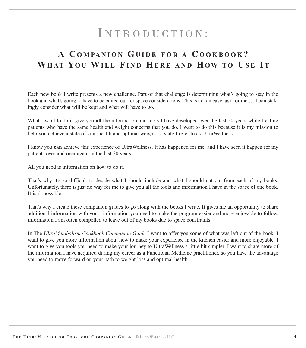# I NTRODUCTION :

# <span id="page-3-0"></span>**A C O M PA N I O N GUIDE FOR A C OOKBOOK ? WHAT YO U WILL FIND HERE AND HOW TO U S E I T**

Each new book I write presents a new challenge. Part of that challenge is determining what's going to stay in the book and what's going to have to be edited out for space considerations. This is not an easy task for me.… I painstakingly consider what will be kept and what will have to go.

What I want to do is give you **all** the information and tools I have developed over the last 20 years while treating patients who have the same health and weight concerns that you do. I want to do this because it is my mission to help you achieve a state of vital health and optimal weight—a state I refer to as UltraWellness.

I know you **can** achieve this experience of UltraWellness. It has happened for me, and I have seen it happen for my patients over and over again in the last 20 years.

All you need is information on how to do it.

That's why it's so difficult to decide what I should include and what I should cut out from each of my books. Unfortunately, there is just no way for me to give you all the tools and information I have in the space of one book. It isn't possible.

That's why I create these companion guides to go along with the books I write. It gives me an opportunity to share additional information with you—information you need to make the program easier and more enjoyable to follow, information I am often compelled to leave out of my books due to space constraints.

In The *UltraMetabolism Cookbook Companion Guide* I want to offer you some of what was left out of the book. I want to give you more information about how to make your experience in the kitchen easier and more enjoyable. I want to give you tools you need to make your journey to UltraWellness a little bit simpler. I want to share more of the information I have acquired during my career as a Functional Medicine practitioner, so you have the advantage you need to move forward on your path to weight loss and optimal health.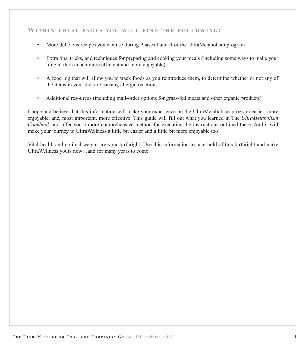#### WITHIN THESE PAGES YOU WILL FIND THE FOLLOWING:

- More delicious recipes you can use during Phases I and II of the UltraMetabolism program
- Extra tips, tricks, and techniques for preparing and cooking your meals (including some ways to make your time in the kitchen more efficient and more enjoyable)
- A food log that will allow you to track foods as you reintroduce them, to determine whether or not any of the items in your diet are causing allergic reactions
- Additional resources (including mail-order options for grass-fed meats and other organic products)

I hope and believe that this information will make your experience on the UltraMetabolism program easier, more enjoyable, and, most important, more effective. This guide will fill out what you learned in The *UltraMetabolism Cookbook* and offer you a more comprehensive method for executing the instructions outlined there. And it will make your journey to UltraWellness a little bit easier and a little bit more enjoyable too!

Vital health and optimal weight are your birthright. Use this information to take hold of this birthright and make UltraWellness yours now…and for many years to come.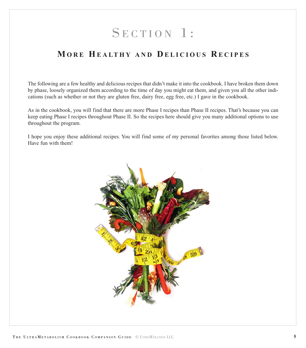# SECTION 1:

# <span id="page-5-0"></span>**MORE HEALTHY AND D ELICIOUS R ECIPES**

The following are a few healthy and delicious recipes that didn't make it into the cookbook. I have broken them down by phase, loosely organized them according to the time of day you might eat them, and given you all the other indications (such as whether or not they are gluten free, dairy free, egg free, etc.) I gave in the cookbook.

As in the cookbook, you will find that there are more Phase I recipes than Phase II recipes. That's because you can keep eating Phase I recipes throughout Phase II. So the recipes here should give you many additional options to use throughout the program.

I hope you enjoy these additional recipes. You will find some of my personal favorites among those listed below. Have fun with them!

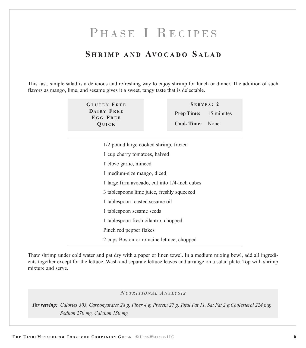# PHASE I RECIPES

# **S HRIMP AND AVOCADO S ALAD**

<span id="page-6-0"></span>This fast, simple salad is a delicious and refreshing way to enjoy shrimp for lunch or dinner. The addition of such flavors as mango, lime, and sesame gives it a sweet, tangy taste that is delectable.

> **GLUTEN F REE DAIRY F REE E G G F REE QUICK**

**S E RVES : 2 Prep Time:** 15 minutes **Cook Time:** None

1/2 pound large cooked shrimp, frozen cup cherry tomatoes, halved clove garlic, minced medium-size mango, diced large firm avocado, cut into 1/4-inch cubes tablespoons lime juice, freshly squeezed tablespoon toasted sesame oil tablespoon sesame seeds tablespoon fresh cilantro, chopped Pinch red pepper flakes

2 cups Boston or romaine lettuce, chopped

Thaw shrimp under cold water and pat dry with a paper or linen towel. In a medium mixing bowl, add all ingredients together except for the lettuce. Wash and separate lettuce leaves and arrange on a salad plate. Top with shrimp mixture and serve.

#### *N UTRITIONAL A NALYSIS*

*Per serving: Calories 303, Carbohydrates 28 g, Fiber 4 g, Protein 27 g, Total Fat 11, Sat Fat 2 g,Cholesterol 224 mg, Sodium 270 mg, Calcium 150 mg*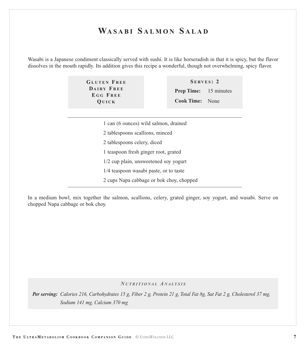# **WASABI S ALMON S ALAD**

Wasabi is a Japanese condiment classically served with sushi. It is like horseradish in that it is spicy, but the flavor dissolves in the mouth rapidly. Its addition gives this recipe a wonderful, though not overwhelming, spicy flavor.

> **GLUTEN F REE DAIRY F REE E G G F REE QUICK**

**S ERVES : 2 Prep Time:** 15 minutes **Cook Time:** None

- 1 can (6 ounces) wild salmon, drained
- 2 tablespoons scallions, minced
- 2 tablespoons celery, diced
- 1 teaspoon fresh ginger root, grated
- 1/2 cup plain, unsweetened soy yogurt
- 1/4 teaspoon wasabi paste, or to taste
- 2 cups Napa cabbage or bok choy, chopped

In a medium bowl, mix together the salmon, scallions, celery, grated ginger, soy yogurt, and wasabi. Serve on chopped Napa cabbage or bok choy.

#### *N UTRITIONAL A NALYSIS*

*Per serving: Calories 216, Carbohydrates 15 g, Fiber 2 g, Protein 21 g, Total Fat 8g, Sat Fat 2 g, Cholesterol 37 mg, Sodium 141 mg, Calcium 370 mg*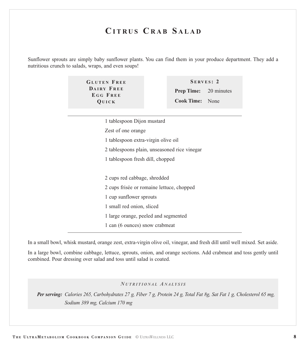# **C ITRUS C RAB S ALAD**

Sunflower sprouts are simply baby sunflower plants. You can find them in your produce department. They add a nutritious crunch to salads, wraps, and even soups!

> **GLUTEN F REE DAIRY F REE E G G F REE QUICK**

**S ERVES : 2 Prep Time:** 20 minutes **Cook Time:** None

1 tablespoon Dijon mustard

Zest of one orange

1 tablespoon extra-virgin olive oil

2 tablespoons plain, unseasoned rice vinegar

1 tablespoon fresh dill, chopped

2 cups red cabbage, shredded

2 cups frisée or romaine lettuce, chopped

1 cup sunflower sprouts

1 small red onion, sliced

1 large orange, peeled and segmented

1 can (6 ounces) snow crabmeat

In a small bowl, whisk mustard, orange zest, extra-virgin olive oil, vinegar, and fresh dill until well mixed. Set aside.

In a large bowl, combine cabbage, lettuce, sprouts, onion, and orange sections. Add crabmeat and toss gently until combined. Pour dressing over salad and toss until salad is coated.

*N UTRITIONAL A NALYSIS*

*Per serving: Calories 265, Carbohydrates 27 g, Fiber 7 g, Protein 24 g, Total Fat 8g, Sat Fat 1 g, Cholesterol 65 mg, Sodium 389 mg, Calcium 170 mg*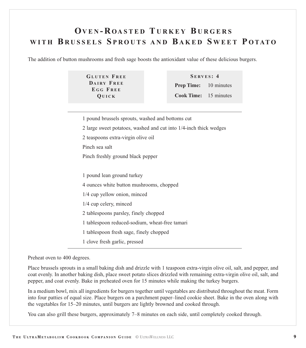# **OVEN - R OASTED T URKEY B URGERS WITH B RUSSELS S PROUTS AND B AKED S WEET P OTATO**

The addition of button mushrooms and fresh sage boosts the antioxidant value of these delicious burgers.

**GLUTEN F REE DAIRY F REE E G G F REE QUICK**

**S ERVES : 4 Prep Time:** 10 minutes **Cook Time:** 15 minutes

1 pound brussels sprouts, washed and bottoms cut

2 large sweet potatoes, washed and cut into 1/4-inch thick wedges

2 teaspoons extra-virgin olive oil

Pinch sea salt

Pinch freshly ground black pepper

 pound lean ground turkey ounces white button mushrooms, chopped 1/4 cup yellow onion, minced 1/4 cup celery, minced tablespoons parsley, finely chopped tablespoon reduced-sodium, wheat-free tamari tablespoon fresh sage, finely chopped

1 clove fresh garlic, pressed

Preheat oven to 400 degrees.

Place brussels sprouts in a small baking dish and drizzle with 1 teaspoon extra-virgin olive oil, salt, and pepper, and coat evenly. In another baking dish, place sweet potato slices drizzled with remaining extra-virgin olive oil, salt, and pepper, and coat evenly. Bake in preheated oven for 15 minutes while making the turkey burgers.

In a medium bowl, mix all ingredients for burgers together until vegetables are distributed throughout the meat. Form into four patties of equal size. Place burgers on a parchment paper–lined cookie sheet. Bake in the oven along with the vegetables for 15–20 minutes, until burgers are lightly browned and cooked through.

You can also grill these burgers, approximately 7–8 minutes on each side, until completely cooked through.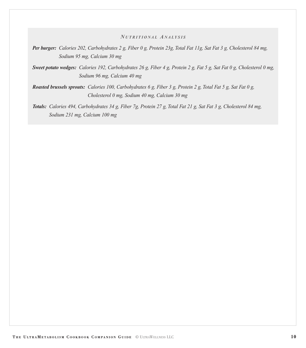#### *N UTRITIONAL A NALYSIS*

*Per burger: Calories 202, Carbohydrates 2 g, Fiber 0 g, Protein 23g, Total Fat 11g, Sat Fat 3 g, Cholesterol 84 mg, Sodium 95 mg, Calcium 30 mg*

*Sweet potato wedges: Calories 192, Carbohydrates 26 g, Fiber 4 g, Protein 2 g, Fat 5 g, Sat Fat 0 g, Cholesterol 0 mg, Sodium 96 mg, Calcium 40 mg*

*Roasted brussels sprouts: Calories 100, Carbohydrates 6 g, Fiber 3 g, Protein 2 g, Total Fat 5 g, Sat Fat 0 g, Cholesterol 0 mg, Sodium 40 mg, Calcium 30 mg*

*Totals: Calories 494, Carbohydrates 34 g, Fiber 7g, Protein 27 g, Total Fat 21 g, Sat Fat 3 g, Cholesterol 84 mg, Sodium 231 mg, Calcium 100 mg*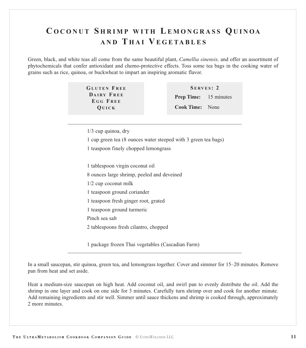# **C OCONUT S HRIMP WITH LEMONGRASS QUINOA AND T HAI V EGETABLES**

Green, black, and white teas all come from the same beautiful plant, *Camellia sinensis,* and offer an assortment of phytochemicals that confer antioxidant and chemo-protective effects. Toss some tea bags in the cooking water of grains such as rice, quinoa, or buckwheat to impart an inspiring aromatic flavor.

> **GLUTEN F REE DAIRY F REE E G G F REE QUICK**

**S ERVES : 2 Prep Time:** 15 minutes **Cook Time:** None

1/3 cup quinoa, dry

1 cup green tea (8 ounces water steeped with 3 green tea bags)

1 teaspoon finely chopped lemongrass

1 tablespoon virgin coconut oil

8 ounces large shrimp, peeled and deveined

1/2 cup coconut milk

1 teaspoon ground coriander

1 teaspoon fresh ginger root, grated

1 teaspoon ground turmeric

Pinch sea salt

2 tablespoons fresh cilantro, chopped

1 package frozen Thai vegetables (Cascadian Farm)

In a small saucepan, stir quinoa, green tea, and lemongrass together. Cover and simmer for 15–20 minutes. Remove pan from heat and set aside.

Heat a medium-size saucepan on high heat. Add coconut oil, and swirl pan to evenly distribute the oil. Add the shrimp in one layer and cook on one side for 3 minutes. Carefully turn shrimp over and cook for another minute. Add remaining ingredients and stir well. Simmer until sauce thickens and shrimp is cooked through, approximately 2 more minutes.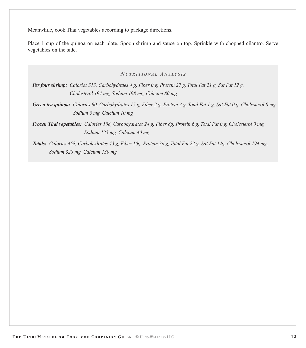Meanwhile, cook Thai vegetables according to package directions.

Place 1 cup of the quinoa on each plate. Spoon shrimp and sauce on top. Sprinkle with chopped cilantro. Serve vegetables on the side.

#### *N UTRITIONAL A NALYSIS*

*Per four shrimp: Calories 313, Carbohydrates 4 g, Fiber 0 g, Protein 27 g, Total Fat 21 g, Sat Fat 12 g, Cholesterol 194 mg, Sodium 198 mg, Calcium 80 mg*

*Green tea quinoa: Calories 80, Carbohydrates 15 g, Fiber 2 g, Protein 3 g, Total Fat 1 g, Sat Fat 0 g, Cholesterol 0 mg, Sodium 5 mg, Calcium 10 mg*

*Frozen Thai vegetables: Calories 108, Carbohydrates 24 g, Fiber 8g, Protein 6 g, Total Fat 0 g, Cholesterol 0 mg, Sodium 125 mg, Calcium 40 mg*

*Totals: Calories 458, Carbohydrates 43 g, Fiber 10g, Protein 36 g, Total Fat 22 g, Sat Fat 12g, Cholesterol 194 mg, Sodium 328 mg, Calcium 130 mg*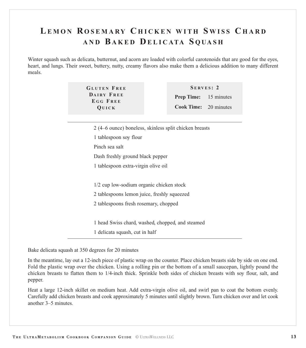# **LEMON R OSEMARY C HICKEN WITH S WISS C HARD AND B AKED D ELICATA S QUASH**

Winter squash such as delicata, butternut, and acorn are loaded with colorful carotenoids that are good for the eyes, heart, and lungs. Their sweet, buttery, nutty, creamy flavors also make them a delicious addition to many different meals.

> **GLUTEN F REE DAIRY F REE E G G F REE QUICK**

**S ERVES : 2 Prep Time:** 15 minutes **Cook Time:** 20 minutes

 (4–6 ounce) boneless, skinless split chicken breasts tablespoon soy flour Pinch sea salt Dash freshly ground black pepper tablespoon extra-virgin olive oil 1/2 cup low-sodium organic chicken stock tablespoons lemon juice, freshly squeezed tablespoons fresh rosemary, chopped head Swiss chard, washed, chopped, and steamed delicata squash, cut in half

Bake delicata squash at 350 degrees for 20 minutes

In the meantime, lay out a 12-inch piece of plastic wrap on the counter. Place chicken breasts side by side on one end. Fold the plastic wrap over the chicken. Using a rolling pin or the bottom of a small saucepan, lightly pound the chicken breasts to flatten them to 1/4-inch thick. Sprinkle both sides of chicken breasts with soy flour, salt, and pepper.

Heat a large 12-inch skillet on medium heat. Add extra-virgin olive oil, and swirl pan to coat the bottom evenly. Carefully add chicken breasts and cook approximately 5 minutes until slightly brown. Turn chicken over and let cook another 3–5 minutes.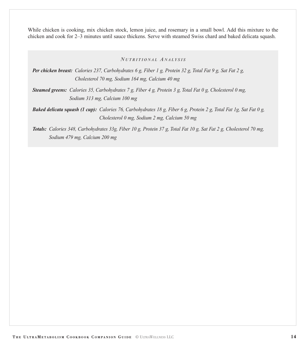While chicken is cooking, mix chicken stock, lemon juice, and rosemary in a small bowl. Add this mixture to the chicken and cook for 2–3 minutes until sauce thickens. Serve with steamed Swiss chard and baked delicata squash.

*N UTRITIONAL A NALYSIS*

*Per chicken breast: Calories 237, Carbohydrates 6 g, Fiber 1 g, Protein 32 g, Total Fat 9 g, Sat Fat 2 g, Cholesterol 70 mg, Sodium 164 mg, Calcium 40 mg* 

*Steamed greens: Calories 35, Carbohydrates 7 g, Fiber 4 g, Protein 3 g, Total Fat 0 g, Cholesterol 0 mg, Sodium 313 mg, Calcium 100 mg*

*Baked delicata squash (1 cup): Calories 76, Carbohydrates 18 g, Fiber 6 g, Protein 2 g, Total Fat 1g, Sat Fat 0 g, Cholesterol 0 mg, Sodium 2 mg, Calcium 50 mg*

*Totals: Calories 348, Carbohydrates 33g, Fiber 10 g, Protein 37 g, Total Fat 10 g, Sat Fat 2 g, Cholesterol 70 mg, Sodium 479 mg, Calcium 200 mg*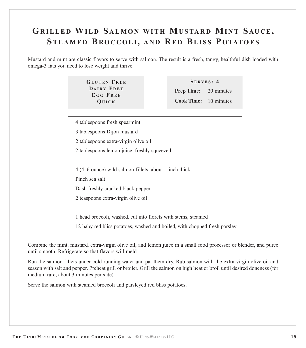# **GRILLED WILD S ALMON WITH MUSTARD MINT S AUCE, STEAMED B ROCCOLI, AND RE D BLISS P OTATOES**

Mustard and mint are classic flavors to serve with salmon. The result is a fresh, tangy, healthful dish loaded with omega-3 fats you need to lose weight and thrive.

> **GLUTEN F REE DAIRY F REE E G G F REE QUICK**

**S ERVES : 4 Prep Time: Cook Time:** 10 minutes20 minutes

- 4 tablespoons fresh spearmint
- 3 tablespoons Dijon mustard
- 2 tablespoons extra-virgin olive oil
- 2 tablespoons lemon juice, freshly squeezed

4 (4–6 ounce) wild salmon fillets, about 1 inch thick

Pinch sea salt

Dash freshly cracked black pepper

2 teaspoons extra-virgin olive oil

1 head broccoli, washed, cut into florets with stems, steamed

12 baby red bliss potatoes, washed and boiled, with chopped fresh parsley

Combine the mint, mustard, extra-virgin olive oil, and lemon juice in a small food processor or blender, and puree until smooth. Refrigerate so that flavors will meld.

Run the salmon fillets under cold running water and pat them dry. Rub salmon with the extra-virgin olive oil and season with salt and pepper. Preheat grill or broiler. Grill the salmon on high heat or broil until desired doneness (for medium rare, about 3 minutes per side).

Serve the salmon with steamed broccoli and parsleyed red bliss potatoes.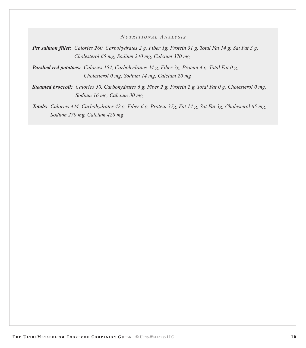*N UTRITIONAL A NALYSIS*

*Per salmon fillet: Calories 260, Carbohydrates 2 g, Fiber 1g, Protein 31 g, Total Fat 14 g, Sat Fat 3 g, Cholesterol 65 mg, Sodium 240 mg, Calcium 370 mg*

*Parslied red potatoes: Calories 154, Carbohydrates 34 g, Fiber 3g, Protein 4 g, Total Fat 0 g, Cholesterol 0 mg, Sodium 14 mg, Calcium 20 mg*

*Steamed broccoli: Calories 50, Carbohydrates 6 g, Fiber 2 g, Protein 2 g, Total Fat 0 g, Cholesterol 0 mg, Sodium 16 mg, Calcium 30 mg*

*Totals: Calories 444, Carbohydrates 42 g, Fiber 6 g, Protein 37g, Fat 14 g, Sat Fat 3g, Cholesterol 65 mg, Sodium 270 mg, Calcium 420 mg*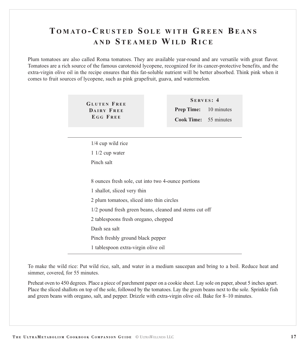# **T OMATO - C RUSTED S OLE WITH GREEN BEANS AND S TEAMED WILD R ICE**

Plum tomatoes are also called Roma tomatoes. They are available year-round and are versatile with great flavor. Tomatoes are a rich source of the famous carotenoid lycopene, recognized for its cancer-protective benefits, and the extra-virgin olive oil in the recipe ensures that this fat-soluble nutrient will be better absorbed. Think pink when it comes to fruit sources of lycopene, such as pink grapefruit, guava, and watermelon.

> **GLUTEN F REE DAIRY F REE E G G F REE**

**S ERVES : 4 Prep Time:** 10 minutes **Cook Time:** 55 minutes

1/4 cup wild rice 1 1/2 cup water Pinch salt

8 ounces fresh sole, cut into two 4-ounce portions

1 shallot, sliced very thin

2 plum tomatoes, sliced into thin circles

1/2 pound fresh green beans, cleaned and stems cut off

2 tablespoons fresh oregano, chopped

Dash sea salt

Pinch freshly ground black pepper

1 tablespoon extra-virgin olive oil

To make the wild rice: Put wild rice, salt, and water in a medium saucepan and bring to a boil. Reduce heat and simmer, covered, for 55 minutes.

Preheat oven to 450 degrees. Place a piece of parchment paper on a cookie sheet. Lay sole on paper, about 5 inches apart. Place the sliced shallots on top of the sole, followed by the tomatoes. Lay the green beans next to the sole. Sprinkle fish and green beans with oregano, salt, and pepper. Drizzle with extra-virgin olive oil. Bake for 8–10 minutes.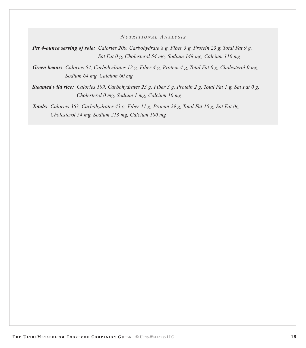#### *N UTRITIONAL A NALYSIS*

*Per 4-ounce serving of sole: Calories 200, Carbohydrate 8 g, Fiber 3 g, Protein 23 g, Total Fat 9 g, Sat Fat 0 g, Cholesterol 54 mg, Sodium 148 mg, Calcium 110 mg*

*Green beans: Calories 54, Carbohydrates 12 g, Fiber 4 g, Protein 4 g, Total Fat 0 g, Cholesterol 0 mg, Sodium 64 mg, Calcium 60 mg*

*Steamed wild rice: Calories 109, Carbohydrates 23 g, Fiber 3 g, Protein 2 g, Total Fat 1 g, Sat Fat 0 g, Cholesterol 0 mg, Sodium 1 mg, Calcium 10 mg*

*Totals: Calories 363, Carbohydrates 43 g, Fiber 11 g, Protein 29 g, Total Fat 10 g, Sat Fat 0g, Cholesterol 54 mg, Sodium 213 mg, Calcium 180 mg*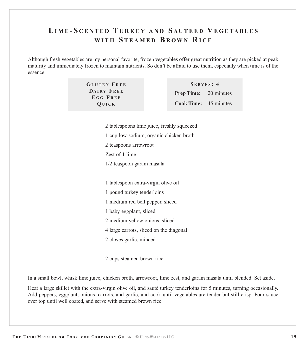# **LIME - S CENTED T URKEY AND S AUTÉED V EGETABLES WITH S TEAMED B ROWN R ICE**

Although fresh vegetables are my personal favorite, frozen vegetables offer great nutrition as they are picked at peak maturity and immediately frozen to maintain nutrients. So don't be afraid to use them, especially when time is of the essence.

| SERVES: 4                    |  |  |
|------------------------------|--|--|
| <b>Prep Time:</b> 20 minutes |  |  |
| <b>Cook Time:</b> 45 minutes |  |  |
|                              |  |  |

| 2 tablespoons lime juice, freshly squeezed |
|--------------------------------------------|
| 1 cup low-sodium, organic chicken broth    |
| 2 teaspoons arrowroot                      |
| Zest of 1 lime                             |
| 1/2 teaspoon garam masala                  |
|                                            |
| 1 tablespoon extra-virgin olive oil        |
| 1 pound turkey tenderloins                 |
| 1 medium red bell pepper, sliced           |
| 1 baby eggplant, sliced                    |
| 2 medium yellow onions, sliced             |
| 4 large carrots, sliced on the diagonal    |
| 2 cloves garlic, minced                    |
|                                            |
|                                            |

2 cups steamed brown rice

In a small bowl, whisk lime juice, chicken broth, arrowroot, lime zest, and garam masala until blended. Set aside.

Heat a large skillet with the extra-virgin olive oil, and sauté turkey tenderloins for 5 minutes, turning occasionally. Add peppers, eggplant, onions, carrots, and garlic, and cook until vegetables are tender but still crisp. Pour sauce over top until well coated, and serve with steamed brown rice.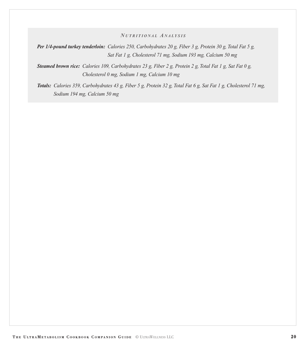#### *N UTRITIONAL A NALYSIS*

*Per 1/4-pound turkey tenderloin: Calories 250, Carbohydrates 20 g, Fiber 3 g, Protein 30 g, Total Fat 5 g, Sat Fat 1 g, Cholesterol 71 mg, Sodium 193 mg, Calcium 50 mg*

*Steamed brown rice: Calories 109, Carbohydrates 23 g, Fiber 2 g, Protein 2 g, Total Fat 1 g, Sat Fat 0 g, Cholesterol 0 mg, Sodium 1 mg, Calcium 10 mg*

*Totals: Calories 359, Carbohydrates 43 g, Fiber 5 g, Protein 32 g, Total Fat 6 g, Sat Fat 1 g, Cholesterol 71 mg, Sodium 194 mg, Calcium 50 mg*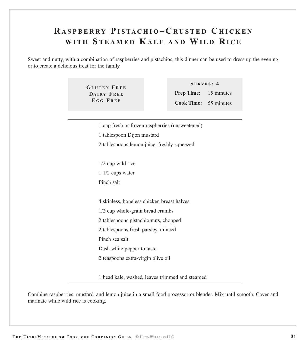# **R ASPBERRY PISTACHIO – C RUSTED C HICKEN WITH S TEAMED KALE AND WILD R ICE**

Sweet and nutty, with a combination of raspberries and pistachios, this dinner can be used to dress up the evening or to create a delicious treat for the family.

> **GLUTEN F REE DAIRY F REE E G G F REE**

**S ERVES : 4 Prep Time:** 15 minutes **Cook Time:** 55 minutes

1 cup fresh or frozen raspberries (unsweetened)

1 tablespoon Dijon mustard

2 tablespoons lemon juice, freshly squeezed

1/2 cup wild rice

1 1/2 cups water

Pinch salt

4 skinless, boneless chicken breast halves

1/2 cup whole-grain bread crumbs

2 tablespoons pistachio nuts, chopped

2 tablespoons fresh parsley, minced

Pinch sea salt

Dash white pepper to taste

2 teaspoons extra-virgin olive oil

1 head kale, washed, leaves trimmed and steamed

Combine raspberries, mustard, and lemon juice in a small food processor or blender. Mix until smooth. Cover and marinate while wild rice is cooking.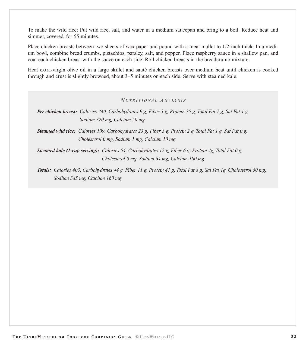To make the wild rice: Put wild rice, salt, and water in a medium saucepan and bring to a boil. Reduce heat and simmer, covered, for 55 minutes.

Place chicken breasts between two sheets of wax paper and pound with a meat mallet to 1/2-inch thick. In a medium bowl, combine bread crumbs, pistachios, parsley, salt, and pepper. Place raspberry sauce in a shallow pan, and coat each chicken breast with the sauce on each side. Roll chicken breasts in the breadcrumb mixture.

Heat extra-virgin olive oil in a large skillet and sauté chicken breasts over medium heat until chicken is cooked through and crust is slightly browned, about 3–5 minutes on each side. Serve with steamed kale.

#### *N UTRITIONAL A NALYSIS*

*Steamed wild rice: Calories 109, Carbohydrates 23 g, Fiber 3 g, Protein 2 g, Total Fat 1 g, Sat Fat 0 g, Cholesterol 0 mg, Sodium 1 mg, Calcium 10 mg*

*Steamed kale (1-cup serving): Calories 54, Carbohydrates 12 g, Fiber 6 g, Protein 4g, Total Fat 0 g, Cholesterol 0 mg, Sodium 64 mg, Calcium 100 mg*

*Totals: Calories 403, Carbohydrates 44 g, Fiber 11 g, Protein 41 g, Total Fat 8 g, Sat Fat 1g, Cholesterol 50 mg, Sodium 385 mg, Calcium 160 mg*

*Per chicken breast: Calories 240, Carbohydrates 9 g, Fiber 3 g, Protein 35 g, Total Fat 7 g, Sat Fat 1 g, Sodium 320 mg, Calcium 50 mg*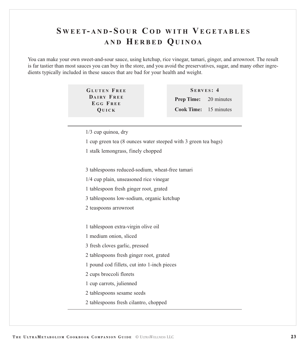# **S WEET- AND - S OUR C OD WITH V EGETABLES AND HERBED QUINOA**

You can make your own sweet-and-sour sauce, using ketchup, rice vinegar, tamari, ginger, and arrowroot. The result is far tastier than most sauces you can buy in the store, and you avoid the preservatives, sugar, and many other ingredients typically included in these sauces that are bad for your health and weight.

> **GLUTEN F REE DAIRY F REE E G G F REE QUICK**

**S ERVES : 4 Prep Time:** 20 minutes **Cook Time:** 15 minutes

1/3 cup quinoa, dry

1 cup green tea (8 ounces water steeped with 3 green tea bags)

1 stalk lemongrass, finely chopped

3 tablespoons reduced-sodium, wheat-free tamari

1/4 cup plain, unseasoned rice vinegar

1 tablespoon fresh ginger root, grated

3 tablespoons low-sodium, organic ketchup

2 teaspoons arrowroot

1 tablespoon extra-virgin olive oil

1 medium onion, sliced

3 fresh cloves garlic, pressed

2 tablespoons fresh ginger root, grated

1 pound cod fillets, cut into 1-inch pieces

2 cups broccoli florets

1 cup carrots, julienned

2 tablespoons sesame seeds

2 tablespoons fresh cilantro, chopped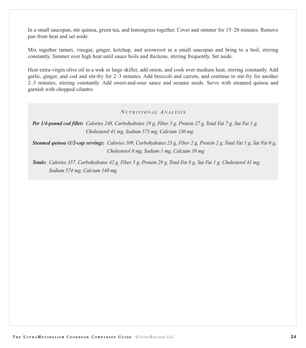In a small saucepan, stir quinoa, green tea, and lemongrass together. Cover and simmer for 15–20 minutes. Remove pan from heat and set aside.

Mix together tamari, vinegar, ginger, ketchup, and arrowroot in a small saucepan and bring to a boil, stirring constantly. Simmer over high heat until sauce boils and thickens, stirring frequently. Set aside.

Heat extra-virgin olive oil in a wok or large skillet, add onion, and cook over medium heat, stirring constantly. Add garlic, ginger, and cod and stir-fry for 2–3 minutes. Add broccoli and carrots, and continue to stir-fry for another 2–3 minutes, stirring constantly. Add sweet-and-sour sauce and sesame seeds. Serve with steamed quinoa and garnish with chopped cilantro.

#### *N UTRITIONAL A NALYSIS*

*Per 1/4-pound cod fillet: Calories 248, Carbohydrates 19 g, Fiber 3 g, Protein 27 g, Total Fat 7 g, Sat Fat 1 g, Cholesterol 41 mg, Sodium 573 mg, Calcium 130 mg*

*Steamed quinoa (1/2-cup serving): Calories 109, Carbohydrates 23 g, Fiber 2 g, Protein 2 g, Total Fat 1 g, Sat Fat 0 g, Cholesterol 0 mg, Sodium 1 mg, Calcium 10 mg*

*Totals: Calories 357, Carbohydrates 42 g, Fiber 5 g, Protein 29 g, Total Fat 8 g, Sat Fat 1 g, Cholesterol 41 mg, Sodium 574 mg, Calcium 140 mg*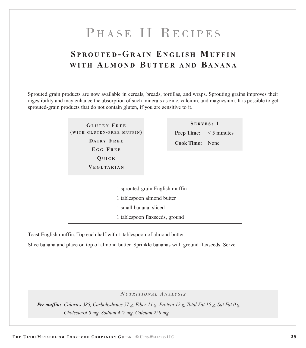# PHASE II RECIPES

# <span id="page-25-0"></span>**S PROUTED - GRAIN E NGLISH MUFFIN WITH A LMOND B UTTER AND B ANANA**

Sprouted grain products are now available in cereals, breads, tortillas, and wraps. Sprouting grains improves their digestibility and may enhance the absorption of such minerals as zinc, calcium, and magnesium. It is possible to get sprouted-grain products that do not contain gluten, if you are sensitive to it.

> **GLUTEN F REE ( WITH GLUTEN - FREE MUFFIN ) DAIRY F REE E G G F REE QUICK V EGETARIAN**

**S ERVES : 1 Prep Time:** < 5 minutes **Cook Time:** None

 sprouted-grain English muffin tablespoon almond butter small banana, sliced tablespoon flaxseeds, ground

Toast English muffin. Top each half with 1 tablespoon of almond butter.

Slice banana and place on top of almond butter. Sprinkle bananas with ground flaxseeds. Serve.

#### *N UTRITIONAL A NALYSIS*

*Per muffin: Calories 385, Carbohydrates 57 g, Fiber 11 g, Protein 12 g, Total Fat 15 g, Sat Fat 0 g, Cholesterol 0 mg, Sodium 427 mg, Calcium 250 mg*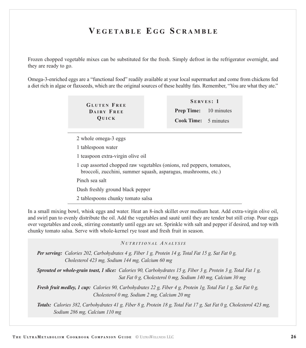# **V EGETABLE E G G S CRAMBLE**

Frozen chopped vegetable mixes can be substituted for the fresh. Simply defrost in the refrigerator overnight, and they are ready to go.

Omega-3-enriched eggs are a "functional food" readily available at your local supermarket and come from chickens fed a diet rich in algae or flaxseeds, which are the original sources of these healthy fats. Remember, "You are what they ate."

> **GLUTEN F REE DAIRY F REE QUICK**

**S E RVES : 1 Prep Time:** 10 minutes **Cook Time:** 5 minutes

2 whole omega-3 eggs

1 tablespoon water

1 teaspoon extra-virgin olive oil

1 cup assorted chopped raw vegetables (onions, red peppers, tomatoes, broccoli, zucchini, summer squash, asparagus, mushrooms, etc.)

Pinch sea salt

Dash freshly ground black pepper

2 tablespoons chunky tomato salsa

In a small mixing bowl, whisk eggs and water. Heat an 8-inch skillet over medium heat. Add extra-virgin olive oil, and swirl pan to evenly distribute the oil. Add the vegetables and sauté until they are tender but still crisp. Pour eggs over vegetables and cook, stirring constantly until eggs are set. Sprinkle with salt and pepper if desired, and top with chunky tomato salsa. Serve with whole-kernel rye toast and fresh fruit in season.

#### *N UTRITIONAL A NALYSIS*

*Per serving: Calories 202, Carbohydrates 4 g, Fiber 1 g, Protein 14 g, Total Fat 15 g, Sat Fat 0 g, Cholesterol 423 mg, Sodium 144 mg, Calcium 60 mg*

*Sprouted or whole-grain toast, 1 slice: Calories 90, Carbohydrates 15 g, Fiber 3 g, Protein 3 g, Total Fat 1 g, Sat Fat 0 g, Cholesterol 0 mg, Sodium 140 mg, Calcium 30 mg*

*Fresh fruit medley, 1 cup: Calories 90, Carbohydrates 22 g, Fiber 4 g, Protein 1g, Total Fat 1 g, Sat Fat 0 g, Cholesterol 0 mg, Sodium 2 mg, Calcium 20 mg*

*Totals: Calories 382, Carbohydrates 41 g, Fiber 8 g, Protein 18 g, Total Fat 17 g, Sat Fat 0 g, Cholesterol 423 mg, Sodium 286 mg, Calcium 110 mg*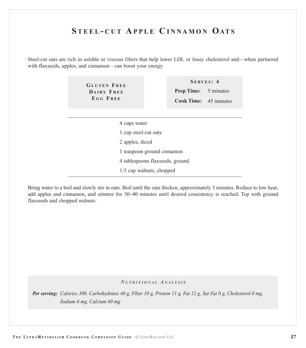# **S TEEL - CUT A PPLE C INNAMON OATS**

Steel-cut oats are rich in soluble or viscous fibers that help lower LDL or lousy cholesterol and—when partnered with flaxseeds, apples, and cinnamon—can boost your energy.

> **GLUTEN F REE DAIRY F REE E G G F REE**

**S ERVES : 4 Prep Time:** 5 minutes **Cook Time:** 45 minutes

4 cups water

1 cup steel-cut oats

2 apples, diced

1 teaspoon ground cinnamon

4 tablespoons flaxseeds, ground

1/3 cup walnuts, chopped

Bring water to a boil and slowly stir in oats. Boil until the oats thicken, approximately 5 minutes. Reduce to low heat, add apples and cinnamon, and simmer for 30–40 minutes until desired consistency is reached. Top with ground flaxseeds and chopped walnuts.

#### *N UTRITIONAL A NALYSIS*

*Per serving: Calories 300, Carbohydrates 40 g, Fiber 10 g, Protein 11 g, Fat 12 g, Sat Fat 0 g, Cholesterol 0 mg, Sodium 6 mg, Calcium 60 mg*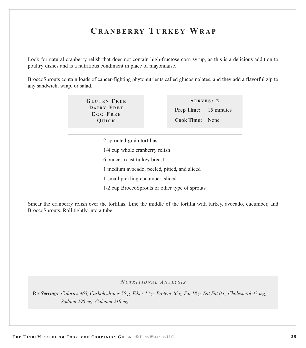# **C RANBERRY T URKEY WRAP**

Look for natural cranberry relish that does not contain high-fructose corn syrup, as this is a delicious addition to poultry dishes and is a nutritious condiment in place of mayonnaise.

BroccoSprouts contain loads of cancer-fighting phytonutrients called glucosinolates, and they add a flavorful zip to any sandwich, wrap, or salad.

> **GLUTEN F REE DAIRY F REE E G G F REE QUICK**

**S ERVES : 2 Prep Time:** 15 minutes **Cook Time:** None

2 sprouted-grain tortillas

- 1/4 cup whole cranberry relish
- 6 ounces roast turkey breast
- 1 medium avocado, peeled, pitted, and sliced
- 1 small pickling cucumber, sliced
- 1/2 cup BroccoSprouts or other type of sprouts

Smear the cranberry relish over the tortillas. Line the middle of the tortilla with turkey, avocado, cucumber, and BroccoSprouts. Roll tightly into a tube.

#### *N UTRITIONAL A NALYSIS*

*Per Serving: Calories 465, Carbohydrates 55 g, Fiber 13 g, Protein 26 g, Fat 18 g, Sat Fat 0 g, Cholesterol 43 mg, Sodium 290 mg, Calcium 210 mg*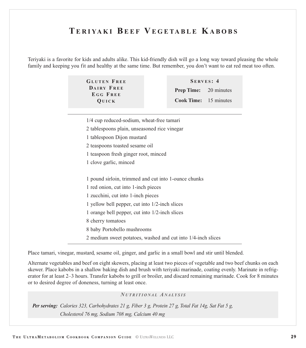# **TERIYAKI BEEF V EGETABLE KABOBS**

Teriyaki is a favorite for kids and adults alike. This kid-friendly dish will go a long way toward pleasing the whole family and keeping you fit and healthy at the same time. But remember, you don't want to eat red meat too often.

| <b>GLUTEN FREE</b>            |                              | SERVES: 4                    |  |
|-------------------------------|------------------------------|------------------------------|--|
| <b>DAIRY FREE</b><br>EGG FREE |                              | <b>Prep Time:</b> 20 minutes |  |
| <b>QUICK</b>                  | <b>Cook Time:</b> 15 minutes |                              |  |

1/4 cup reduced-sodium, wheat-free tamari

- 2 tablespoons plain, unseasoned rice vinegar
- 1 tablespoon Dijon mustard
- 2 teaspoons toasted sesame oil
- 1 teaspoon fresh ginger root, minced
- 1 clove garlic, minced

1 pound sirloin, trimmed and cut into 1-ounce chunks

- 1 red onion, cut into 1-inch pieces
- 1 zucchini, cut into 1-inch pieces
- 1 yellow bell pepper, cut into 1/2-inch slices
- 1 orange bell pepper, cut into 1/2-inch slices
- 8 cherry tomatoes
- 8 baby Portobello mushrooms
- 2 medium sweet potatoes, washed and cut into 1/4-inch slices

Place tamari, vinegar, mustard, sesame oil, ginger, and garlic in a small bowl and stir until blended.

Alternate vegetables and beef on eight skewers, placing at least two pieces of vegetable and two beef chunks on each skewer. Place kabobs in a shallow baking dish and brush with teriyaki marinade, coating evenly. Marinate in refrigerator for at least 2–3 hours. Transfer kabobs to grill or broiler, and discard remaining marinade. Cook for 8 minutes or to desired degree of doneness, turning at least once.

#### *N UTRITION A L A N A LYSIS*

*Per serving: Calories 323, Carbohydrates 21 g, Fiber 3 g, Protein 27 g, Total Fat 14g, Sat Fat 5 g, Cholesterol 76 mg, Sodium 708 mg, Calcium 40 mg*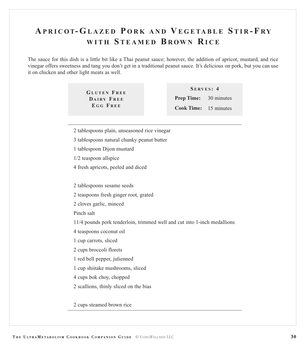# **A PRICOT- GLAZED P ORK AND V EGETABLE S TIR - F R Y WITH S TEAMED B ROWN R ICE**

The sauce for this dish is a little bit like a Thai peanut sauce; however, the addition of apricot, mustard, and rice vinegar offers sweetness and tang you don't get in a traditional peanut sauce. It's delicious on pork, but you can use it on chicken and other light meats as well.

> **GLUTEN F REE DAIRY F REE E G G F REE**

**S ERVES : 4 Prep Time:** 30 minutes **Cook Time:** 15 minutes

- 2 tablespoons plain, unseasoned rice vinegar
- 3 tablespoons natural chunky peanut butter
- 1 tablespoon Dijon mustard
- 1/2 teaspoon allspice
- 4 fresh apricots, peeled and diced
- 2 tablespoons sesame seeds
- 2 teaspoons fresh ginger root, grated
- 2 cloves garlic, minced
- Pinch salt
- 11/4 pounds pork tenderloin, trimmed well and cut into 1-inch medallions
- 4 teaspoons coconut oil
- 1 cup carrots, sliced
- 2 cups broccoli florets
- 1 red bell pepper, julienned
- 1 cup shiitake mushrooms, sliced
- 4 cups bok choy, chopped
- 2 scallions, thinly sliced on the bias

2 cups steamed brown rice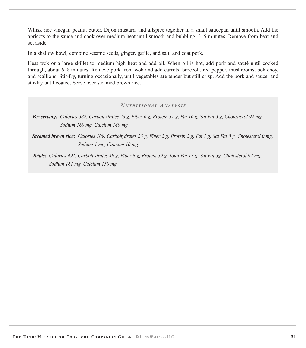Whisk rice vinegar, peanut butter, Dijon mustard, and allspice together in a small saucepan until smooth. Add the apricots to the sauce and cook over medium heat until smooth and bubbling, 3–5 minutes. Remove from heat and set aside.

In a shallow bowl, combine sesame seeds, ginger, garlic, and salt, and coat pork.

Heat wok or a large skillet to medium high heat and add oil. When oil is hot, add pork and sauté until cooked through, about 6–8 minutes. Remove pork from wok and add carrots, broccoli, red pepper, mushrooms, bok choy, and scallions. Stir-fry, turning occasionally, until vegetables are tender but still crisp. Add the pork and sauce, and stir-fry until coated. Serve over steamed brown rice.

#### *N UTRITIONAL A NALYSIS*

*Per serving: Calories 382, Carbohydrates 26 g, Fiber 6 g, Protein 37 g, Fat 16 g, Sat Fat 3 g, Cholesterol 92 mg, Sodium 160 mg, Calcium 140 mg*

*Steamed brown rice: Calories 109, Carbohydrates 23 g, Fiber 2 g, Protein 2 g, Fat 1 g, Sat Fat 0 g, Cholesterol 0 mg, Sodium 1 mg, Calcium 10 mg*

*Totals: Calories 491, Carbohydrates 49 g, Fiber 8 g, Protein 39 g, Total Fat 17 g, Sat Fat 3g, Cholesterol 92 mg, Sodium 161 mg, Calcium 150 mg*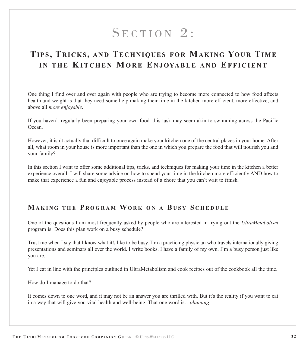# SECTION 2:

# <span id="page-32-0"></span>**TIPS, TRICKS, AND TECHNIQUES FOR MAKING YOUR TIME IN THE KITCHEN MORE E NJOYABLE AND EFFICIENT**

One thing I find over and over again with people who are trying to become more connected to how food affects health and weight is that they need some help making their time in the kitchen more efficient, more effective, and above all *more enjoyable*.

If you haven't regularly been preparing your own food, this task may seem akin to swimming across the Pacific Ocean.

However, it isn't actually that difficult to once again make your kitchen one of the central places in your home. After all, what room in your house is more important than the one in which you prepare the food that will nourish you and your family?

In this section I want to offer some additional tips, tricks, and techniques for making your time in the kitchen a better experience overall. I will share some advice on how to spend your time in the kitchen more efficiently AND how to make that experience a fun and enjoyable process instead of a chore that you can't wait to finish.

# **MAKING THE P R OGRAM WORK O N A B USY S CHEDULE**

One of the questions I am most frequently asked by people who are interested in trying out the *UltraMetabolism* program is: Does this plan work on a busy schedule?

Trust me when I say that I know what it's like to be busy. I'm a practicing physician who travels internationally giving presentations and seminars all over the world. I write books. I have a family of my own. I'm a busy person just like you are.

Yet I eat in line with the principles outlined in UltraMetabolism and cook recipes out of the cookbook all the time.

How do I manage to do that?

It comes down to one word, and it may not be an answer you are thrilled with. But it's the reality if you want to eat in a way that will give you vital health and well-being. That one word is…*planning*.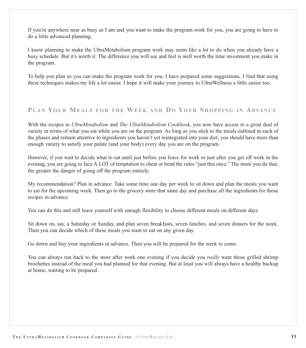If you're anywhere near as busy as I am and you want to make the program work for you, you are going to have to do a little advanced planning.

I know planning to make the UltraMetabolism program work may seem like a lot to do when you already have a busy schedule. But it's worth it. The difference you will see and feel is well worth the time investment you make in the program.

To help you plan so you can make the program work for you, I have prepared some suggestions. I find that using these techniques makes my life a lot easier. I hope it will make your journey to UltraWellness a little easier too.

# **PLAN YOUR MEALS FOR THE WEEK AND D O YOUR S HOPPING IN ADVA N C E**

With the recipes in *UltraMetabolism* and *The UltraMetabolism Cookbook*, you now have access to a great deal of variety in terms of what you eat while you are on the program. As long as you stick to the meals outlined in each of the phases and remain attentive to ingredients you haven't yet reintegrated into your diet, you should have more than enough variety to satisfy your palate (and your body) every day you are on the program.

However, if you wait to decide what to eat until just before you leave for work or just after you get off work in the evening, you are going to face A LOT of temptation to cheat or bend the rules "just this once." The more you do that, the greater the danger of going off the program entirely.

My recommendation? Plan in advance. Take some time one day per week to sit down and plan the meals you want to eat for the upcoming week. Then go to the grocery store that same day and purchase all the ingredients for those recipes in advance.

You can do this and still leave yourself with enough flexibility to choose different meals on different days.

Sit down on, say, a Saturday or Sunday, and plan seven breakfasts, seven lunches, and seven dinners for the week. Then you can decide which of these meals you want to eat on any given day.

Go down and buy your ingredients in advance. Then you will be prepared for the week to come.

You can always run back to the store after work one evening if you decide you *really* want those grilled shrimp brochettes instead of the meal you had planned for that evening. But at least you will always have a healthy backup at home, waiting to be prepared.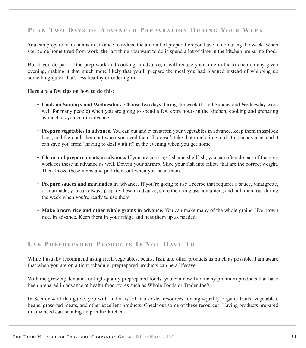# **P LAN T W O DAYS OF A DVA N C E D P R E PA R AT I O N D URING YOUR WEEK**

You can prepare many items in advance to reduce the amount of preparation you have to do during the week. When you come home tired from work, the last thing you want to do is spend a lot of time in the kitchen preparing food.

But if you do part of the prep work and cooking in advance, it will reduce your time in the kitchen on any given evening, making it that much more likely that you'll prepare the meal you had planned instead of whipping up something quick that's less healthy or ordering in.

#### **Here are a few tips on how to do this:**

- **Cook on Sundays and Wednesdays.** Choose two days during the week (I find Sunday and Wednesday work well for many people) when you are going to spend a few extra hours in the kitchen, cooking and preparing as much as you can in advance.
- **Prepare vegetables in advance.**You can cut and even steam your vegetables in advance, keep them in ziplock bags, and then pull them out when you need them. It doesn't take that much time to do this in advance, and it can save you from "having to deal with it" in the evening when you get home.
- **Clean and prepare meats in advance.** If you are cooking fish and shellfish, you can often do part of the prep work for these in advance as well. Devein your shrimp. Slice your fish into fillets that are the correct weight. Then freeze these items and pull them out when you need them.
- **Prepare sauces and marinades in advance.** If you're going to use a recipe that requires a sauce, vinaigrette, or marinade, you can always prepare these in advance, store them in glass containers, and pull them out during the week when you're ready to use them.
- **Make brown rice and other whole grains in advance.** You can make many of the whole grains, like brown rice, in advance. Keep them in your fridge and heat them up as needed.

# **U S E P REPREPARED P R ODUCTS I F YO U HAV E T O**

While I usually recommend using fresh vegetables, beans, fish, and other products as much as possible, I am aware that when you are on a tight schedule, preprepared products can be a lifesaver.

With the growing demand for high-quality preprepared foods, you can now find many premium products that have been prepared in advance at health food stores such as Whole Foods or Trader Joe's.

In Section 4 of this guide, you will find a list of mail-order resources for high-quality organic fruits, vegetables, beans, grass-fed meats, and other excellent products. Check out some of these resources. Having products prepared in advanced can be a big help in the kitchen.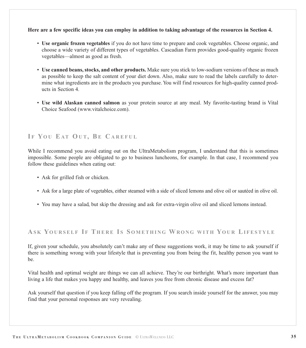#### **Here are a few specific ideas you can employ in addition to taking advantage of the resources in Section 4.**

- **Use organic frozen vegetables** if you do not have time to prepare and cook vegetables. Choose organic, and choose a wide variety of different types of vegetables. Cascadian Farm provides good-quality organic frozen vegetables—almost as good as fresh.
- **Use canned beans, stocks, and other products.** Make sure you stick to low-sodium versions of these as much as possible to keep the salt content of your diet down. Also, make sure to read the labels carefully to determine what ingredients are in the products you purchase. You will find resources for high-quality canned products in Section 4.
- **Use wild Alaskan canned salmon** as your protein source at any meal. My favorite-tasting brand is Vital Choice Seafood [\(www.vitalchoice.com\)](http://www.vitalchoice.com).

# **I F YO U E AT OU T, BE C AREFUL**

While I recommend you avoid eating out on the UltraMetabolism program, I understand that this is sometimes impossible. Some people are obligated to go to business luncheons, for example. In that case, I recommend you follow these guidelines when eating out:

- Ask for grilled fish or chicken.
- Ask for a large plate of vegetables, either steamed with a side of sliced lemons and olive oil or sautéed in olive oil.
- You may have a salad, but skip the dressing and ask for extra-virgin olive oil and sliced lemons instead.

# **AS K YOURSELF I F T HERE I S S OMETHING WRONG WITH YOUR LIFESTYLE**

If, given your schedule, you absolutely can't make any of these suggestions work, it may be time to ask yourself if there is something wrong with your lifestyle that is preventing you from being the fit, healthy person you want to be.

Vital health and optimal weight are things we can all achieve. They're our birthright. What's more important than living a life that makes you happy and healthy, and leaves you free from chronic disease and excess fat?

Ask yourself that question if you keep falling off the program. If you search inside yourself for the answer, you may find that your personal responses are very revealing.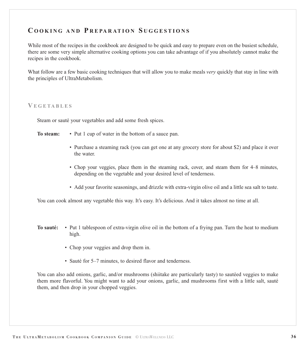# <span id="page-36-0"></span>**C OOKING AND P R E PA R AT I O N S UGGESTIONS**

While most of the recipes in the cookbook are designed to be quick and easy to prepare even on the busiest schedule, there are some very simple alternative cooking options you can take advantage of if you absolutely cannot make the recipes in the cookbook.

What follow are a few basic cooking techniques that will allow you to make meals *very* quickly that stay in line with the principles of UltraMetabolism.

#### **V EGETABLES**

Steam or sauté your vegetables and add some fresh spices.

- **To steam:** Put 1 cup of water in the bottom of a sauce pan.
	- Purchase a steaming rack (you can get one at any grocery store for about \$2) and place it over the water.
	- Chop your veggies, place them in the steaming rack, cover, and steam them for 4–8 minutes, depending on the vegetable and your desired level of tenderness.
	- Add your favorite seasonings, and drizzle with extra-virgin olive oil and a little sea salt to taste.

You can cook almost any vegetable this way. It's easy. It's delicious. And it takes almost no time at all.

- **To sauté:** Put 1 tablespoon of extra-virgin olive oil in the bottom of a frying pan. Turn the heat to medium high.
	- Chop your veggies and drop them in.
	- Sauté for 5–7 minutes, to desired flavor and tenderness.

You can also add onions, garlic, and/or mushrooms (shiitake are particularly tasty) to sautéed veggies to make them more flavorful. You might want to add your onions, garlic, and mushrooms first with a little salt, sauté them, and then drop in your chopped veggies.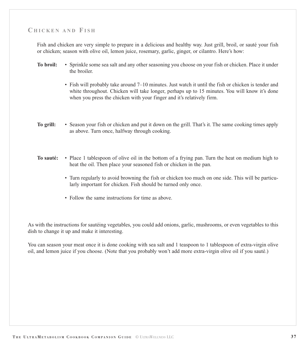# **C HICKEN AND FISH**

Fish and chicken are very simple to prepare in a delicious and healthy way. Just grill, broil, or sauté your fish or chicken; season with olive oil, lemon juice, rosemary, garlic, ginger, or cilantro. Here's how:

- **To broil:** Sprinkle some sea salt and any other seasoning you choose on your fish or chicken. Place it under the broiler.
	- Fish will probably take around 7–10 minutes. Just watch it until the fish or chicken is tender and white throughout. Chicken will take longer, perhaps up to 15 minutes. You will know it's done when you press the chicken with your finger and it's relatively firm.
- **To grill:** Season your fish or chicken and put it down on the grill. That's it. The same cooking times apply as above. Turn once, halfway through cooking.
- **To sauté:** Place 1 tablespoon of olive oil in the bottom of a frying pan. Turn the heat on medium high to heat the oil. Then place your seasoned fish or chicken in the pan.
	- Turn regularly to avoid browning the fish or chicken too much on one side. This will be particularly important for chicken. Fish should be turned only once.
	- Follow the same instructions for time as above.

As with the instructions for sautéing vegetables, you could add onions, garlic, mushrooms, or even vegetables to this dish to change it up and make it interesting.

You can season your meat once it is done cooking with sea salt and 1 teaspoon to 1 tablespoon of extra-virgin olive oil, and lemon juice if you choose. (Note that you probably won't add more extra-virgin olive oil if you sauté.)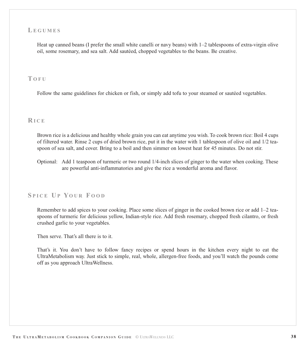### **LEGUMES**

Heat up canned beans (I prefer the small white canelli or navy beans) with 1–2 tablespoons of extra-virgin olive oil, some rosemary, and sea salt. Add sautéed, chopped vegetables to the beans. Be creative.

#### **T OFU**

Follow the same guidelines for chicken or fish, or simply add tofu to your steamed or sautéed vegetables.

#### **R ICE**

Brown rice is a delicious and healthy whole grain you can eat anytime you wish. To cook brown rice: Boil 4 cups of filtered water. Rinse 2 cups of dried brown rice, put it in the water with 1 tablespoon of olive oil and 1/2 teaspoon of sea salt, and cover. Bring to a boil and then simmer on lowest heat for 45 minutes. Do not stir.

Optional: Add 1 teaspoon of turmeric or two round 1/4-inch slices of ginger to the water when cooking. These are powerful anti-inflammatories and give the rice a wonderful aroma and flavor.

# **S PICE U P YOUR F OOD**

Remember to add spices to your cooking. Place some slices of ginger in the cooked brown rice or add 1–2 teaspoons of turmeric for delicious yellow, Indian-style rice. Add fresh rosemary, chopped fresh cilantro, or fresh crushed garlic to your vegetables.

Then serve. That's all there is to it.

That's it. You don't have to follow fancy recipes or spend hours in the kitchen every night to eat the UltraMetabolism way. Just stick to simple, real, whole, allergen-free foods, and you'll watch the pounds come off as you approach UltraWellness.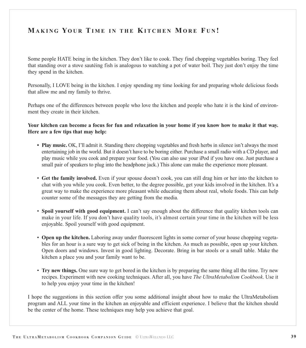# <span id="page-39-0"></span>**MAKING YOUR TIME IN THE KITCHEN MORE F U N !**

Some people HATE being in the kitchen. They don't like to cook. They find chopping vegetables boring. They feel that standing over a stove sautéing fish is analogous to watching a pot of water boil. They just don't enjoy the time they spend in the kitchen.

Personally, I LOVE being in the kitchen. I enjoy spending my time looking for and preparing whole delicious foods that allow me and my family to thrive.

Perhaps one of the differences between people who love the kitchen and people who hate it is the kind of environment they create in their kitchen.

**Your kitchen can become a focus for fun and relaxation in your home if you know how to make it that way. Here are a few tips that may help:**

- **Play music.** OK, I'll admit it. Standing there chopping vegetables and fresh herbs in silence isn't always the most entertaining job in the world. But it doesn't have to be boring either. Purchase a small radio with a CD player, and play music while you cook and prepare your food. (You can also use your iPod if you have one. Just purchase a small pair of speakers to plug into the headphone jack.) This alone can make the experience more pleasant.
- **Get the family involved.** Even if your spouse doesn't cook, you can still drag him or her into the kitchen to chat with you while you cook. Even better, to the degree possible, get your kids involved in the kitchen. It's a great way to make the experience more pleasant while educating them about real, whole foods. This can help counter some of the messages they are getting from the media.
- **Spoil yourself with good equipment.** I can't say enough about the difference that quality kitchen tools can make in your life. If you don't have quality tools, it's almost certain your time in the kitchen will be less enjoyable. Spoil yourself with good equipment.
- **Open up the kitchen.** Laboring away under fluorescent lights in some corner of your house chopping vegetables for an hour is a sure way to get sick of being in the kitchen. As much as possible, open up your kitchen. Open doors and windows. Invest in good lighting. Decorate. Bring in bar stools or a small table. Make the kitchen a place you and your family want to be.
- **Try new things.** One sure way to get bored in the kitchen is by preparing the same thing all the time. Try new recipes. Experiment with new cooking techniques. After all, you have *The UltraMetabolism Cookbook*. Use it to help you enjoy your time in the kitchen!

I hope the suggestions in this section offer you some additional insight about how to make the UltraMetabolism program and ALL your time in the kitchen an enjoyable and efficient experience. I believe that the kitchen should be the center of the home. These techniques may help you achieve that goal.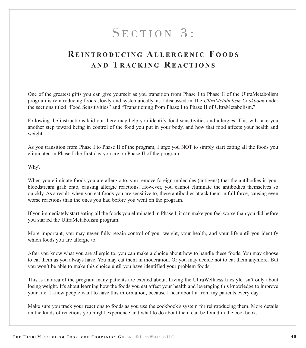# SECTION 3:

# <span id="page-40-0"></span>**R EINTRODUCING A LLERGENIC F OODS AND T RACKING R EACTIONS**

One of the greatest gifts you can give yourself as you transition from Phase I to Phase II of the UltraMetabolism program is reintroducing foods slowly and systematically, as I discussed in The *UltraMetabolism Cookbook* under the sections titled "Food Sensitivities" and "Transitioning from Phase I to Phase II of UltraMetabolism."

Following the instructions laid out there may help you identify food sensitivities and allergies. This will take you another step toward being in control of the food you put in your body, and how that food affects your health and weight.

As you transition from Phase I to Phase II of the program, I urge you NOT to simply start eating all the foods you eliminated in Phase I the first day you are on Phase II of the program.

Why?

When you eliminate foods you are allergic to, you remove foreign molecules (antigens) that the antibodies in your bloodstream grab onto, causing allergic reactions. However, you cannot eliminate the antibodies themselves so quickly. As a result, when you eat foods you are sensitive to, these antibodies attack them in full force, causing even worse reactions than the ones you had before you went on the program.

If you immediately start eating all the foods you eliminated in Phase I, it can make you feel worse than you did before you started the UltraMetabolism program.

More important, you may never fully regain control of your weight, your health, and your life until you identify which foods you are allergic to.

After you know what you are allergic to, you can make a choice about how to handle these foods. You may choose to eat them as you always have. You may eat them in moderation. Or you may decide not to eat them anymore. But you won't be able to make this choice until you have identified your problem foods.

This is an area of the program many patients are excited about. Living the UltraWellness lifestyle isn't only about losing weight. It's about learning how the foods you eat affect your health and leveraging this knowledge to improve your life. I know people want to have this information, because I hear about it from my patients every day.

Make sure you track your reactions to foods as you use the cookbook's system for reintroducing them. More details on the kinds of reactions you might experience and what to do about them can be found in the cookbook.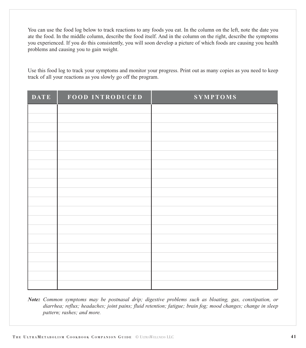You can use the food log below to track reactions to any foods you eat. In the column on the left, note the date you ate the food. In the middle column, describe the food itself. And in the column on the right, describe the symptoms you experienced. If you do this consistently, you will soon develop a picture of which foods are causing you health problems and causing you to gain weight.

Use this food log to track your symptoms and monitor your progress. Print out as many copies as you need to keep track of all your reactions as you slowly go off the program.

| DATE | FOOD INTRODUCED | <b>SYMPTOMS</b> |
|------|-----------------|-----------------|
|      |                 |                 |
|      |                 |                 |
|      |                 |                 |
|      |                 |                 |
|      |                 |                 |
|      |                 |                 |
|      |                 |                 |
|      |                 |                 |
|      |                 |                 |
|      |                 |                 |
|      |                 |                 |
|      |                 |                 |
|      |                 |                 |
|      |                 |                 |
|      |                 |                 |
|      |                 |                 |
|      |                 |                 |
|      |                 |                 |

*Note: Common symptoms may be postnasal drip; digestive problems such as bloating, gas, constipation, or diarrhea; reflux; headaches; joint pains; fluid retention; fatigue; brain fog; mood changes; change in sleep pattern; rashes; and more.*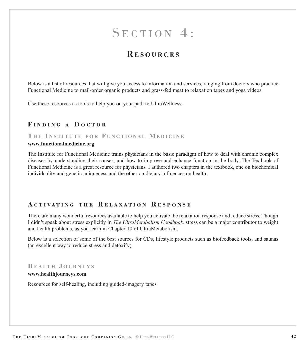# SECTION 4:

# **R ESOURCES**

<span id="page-42-0"></span>Below is a list of resources that will give you access to information and services, ranging from doctors who practice Functional Medicine to mail-order organic products and grass-fed meat to relaxation tapes and yoga videos.

Use these resources as tools to help you on your path to UltraWellness.

# **F INDING A D OCTOR**

### **T H E I NSTITUTE FOR F UNCTIONAL MEDICINE**

#### **[www.functionalmedicine.org](http://www.functionalmedicine.org)**

The Institute for Functional Medicine trains physicians in the basic paradigm of how to deal with chronic complex diseases by understanding their causes, and how to improve and enhance function in the body. The Textbook of Functional Medicine is a great resource for physicians. I authored two chapters in the textbook, one on biochemical individuality and genetic uniqueness and the other on dietary influences on health.

### **A CTIVATING THE R ELAXATION R ESPONSE**

There are many wonderful resources available to help you activate the relaxation response and reduce stress. Though I didn't speak about stress explicitly in *The UltraMetabolism Cookbook,* stress can be a major contributor to weight and health problems, as you learn in Chapter 10 of UltraMetabolism.

Below is a selection of some of the best sources for CDs, lifestyle products such as biofeedback tools, and saunas (an excellent way to reduce stress and detoxify).

#### **HEALTH J OURNEYS**

#### **[www.healthjourneys.com](http://www.healthjourneys.com)**

Resources for self-healing, including guided-imagery tapes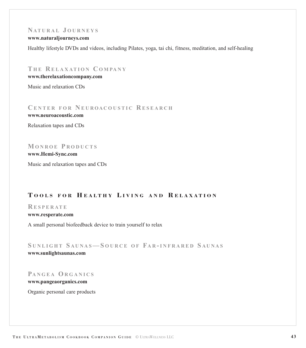# **NATURAL J OURNEYS**

#### **[www.naturaljourneys.com](http://www.naturaljourneys.com)**

Healthy lifestyle DVDs and videos, including Pilates, yoga, tai chi, fitness, meditation, and self-healing

**T H E R ELAXATION C O M PA N Y [www.therelaxationcompany.com](http://www.therelaxationcompany.com)**

Music and relaxation CDs

**C ENTER FOR N EUROACOUSTIC R ESEARCH [www.neuroacoustic.com](http://www.neuroacoustic.com)**

Relaxation tapes and CDs

**MONROE P RODUCTS [www.Hemi-Sync.com](http://www.hemi-sync.com)** Music and relaxation tapes and CDs

# **T OOLS FOR H EALTHY L IVING AND R ELAXATION**

**R ESPERAT E**

**[www.resperate.com](http://www.resperate.com)**

A small personal biofeedback device to train yourself to relax

**S UNLIGHT S AUNAS— S OURCE OF FA R - INFRARED S AUNAS [www.sunlightsaunas.com](http://www.sunlightsaunas.com)**

**PANGEA ORGANICS**

**[www.pangeaorganics.com](http://www.pangeaorganics.com)**

Organic personal care products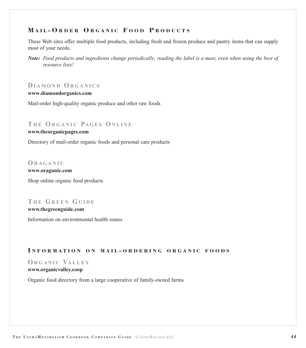# <span id="page-44-0"></span>**M AIL - O RDER O RGANIC F OOD P RODUCTS**

These Web sites offer multiple food products, including fresh and frozen produce and pantry items that can supply most of your needs.

# **D IAMOND ORGANICS**

#### **[www.diamondorganics.com](http://www.diamondorganics.com)**

Mail-order high-quality organic produce and other raw foods

#### **T H E ORGANIC PAGES ONLINE**

#### **[www.theorganicpages.com](http://www.theorganicpages.com)**

Directory of mail-order organic foods and personal care products

#### **ORAGANIC**

**[www.oraganic.com](http://www.oraganic.com)** Shop online organic food products

# **T H E GREEN GUIDE**

#### **[www.thegreenguide.com](http://www.thegreenguide.com)**

Information on environmental health issues

#### **I NFORMA TION ON MAIL - ORDERING ORGANIC FOODS**

# **ORGANIC VALLEY**

#### **[www.organicvalley.coop](http://www.organicvalley.coop)**

Organic food directory from a large cooperative of family-owned farms

*Note: Food products and ingredients change periodically; reading the label is a must, even when using the best of resource lists!*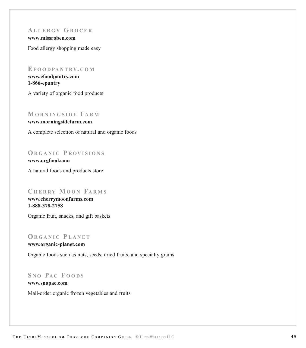# **A LLERGY GROCER**

**[www.missroben.com](http://www.missroben.com)**

Food allergy shopping made easy

#### **EF O O D PA N T RY. COM**

**[www.efoodpantry.com](http://www.efoodpantry.com) 1-866-epantry**

A variety of organic food products

# **MORNINGSIDE FARM**

**[www.morningsidefarm.com](http://www.morningsidefarm.com)**

A complete selection of natural and organic foods

# **ORGANIC P ROVISIONS**

**[www.orgfood.com](http://www.orgfood.com)** A natural foods and products store

# **C HERRY MOON FARMS**

**[www.cherrymoonfarms.com](http://www.cherrymoonfarms.com) 1-888-378-2758**

Organic fruit, snacks, and gift baskets

# **ORGANIC P LANET**

**[www.organic-planet.com](http://www.organic-planet.com)**

Organic foods such as nuts, seeds, dried fruits, and specialty grains

# **S N O PA C F OODS**

**[www.snopac.com](http://www.snopac.com)**  Mail-order organic frozen vegetables and fruits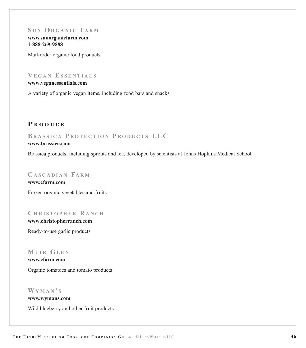# $SUN ORGANIC$ **FARM**

**[www.sunorganicfarm.com](http://www.sunorganicfarm.com) 1-888-269-9888**

Mail-order organic food products

# **V EGAN ESSENTIALS**

**[www.veganessentials.com](http://www.veganessentials.com)**

A variety of organic vegan items, including food bars and snacks

# **P RODUCE**

# **B RASSICA P R OTECTION P R ODUCTS LLC**

### **[www.brassica.com](http://www.brassica.com)**

Brassica products, including sprouts and tea, developed by scientists at Johns Hopkins Medical School

### **C ASCADIAN FARM**

**[www.cfarm.com](http://www.cfarm.com)** Frozen organic vegetables and fruits

#### **C HRISTOPHER R ANCH**

**[www.christopherranch.com](http://www.christopherranch.com)**

Ready-to-use garlic products

### **MUIR GLEN**

**[www.cfarm.com](http://www.cfarm.com)** Organic tomatoes and tomato products

# **WYMAN ' S**

**[www.wymans.com](http://www.wymans.com)**

Wild blueberry and other fruit products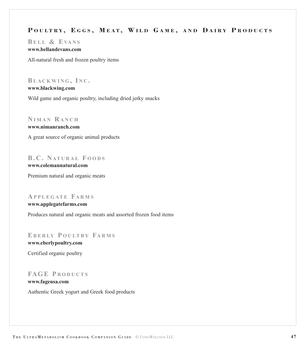# **P OULTRY, E GGS , M EAT, W ILD G AME , AND D AIRY P RODUCTS**

**BELL & E VA N S [www.bellandevans.com](http://www.bellandevans.com)**

All-natural fresh and frozen poultry items

**BLACKWING , I N C . [www.blackwing.com](http://www.blackwing.com)** Wild game and organic poultry, including dried jerky snacks

**N IMAN R ANCH**

**[www.nimanranch.com](http://www.nimanranch.com)** A great source of organic animal products

# **B.C. NATURAL F OODS**

**[www.colemannatural.com](http://www.colemannatural.com)** Premium natural and organic meats

# **A PPLEGAT E FARMS**

**[www.applegatefarms.com](http://www.applegatefarms.com)**

Produces natural and organic meats and assorted frozen food items

# **EB E R LY P OULTRY FARMS**

**[www.eberlypoultry.com](http://www.eberlypoultry.com)** Certified organic poultry

# **FAGE P RODUCTS**

**[www.fageusa.com](http://www.fageusa.com)** Authentic Greek yogurt and Greek food products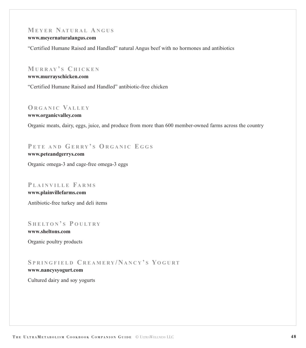# **MEYER NATURAL A NGUS**

#### **[www.meyernaturalangus.com](http://www.meyernaturalangus.com)**

"Certified Humane Raised and Handled" natural Angus beef with no hormones and antibiotics

# **MURRAY ' S C HICKEN**

#### **[www.murrayschicken.com](http://www.murrayschicken.com)**

"Certified Humane Raised and Handled" antibiotic-free chicken

# **ORGANIC VALLEY**

#### **[www.organicvalley.com](http://www.organicvalley.com)**

Organic meats, dairy, eggs, juice, and produce from more than 600 member-owned farms across the country

# **P ETE AND GERRY ' S ORGANIC E GGS**

# **[www.peteandgerrys.com](http://www.peteandgerrys.com)**

Organic omega-3 and cage-free omega-3 eggs

#### **P LAINVILLE FARMS**

**[www.plainvillefarms.com](http://www.plainvillefarms.com)** Antibiotic-free turkey and deli items

# **S HELTON ' S P OULTRY**

**[www.sheltons.com](http://www.sheltons.com)** Organic poultry products

# **S PRINGFIELD C REAMERY / NANCY ' S YOGUR T**

# **[www.nancysyogurt.com](http://www.nancysyogurt.com)**

Cultured dairy and soy yogurts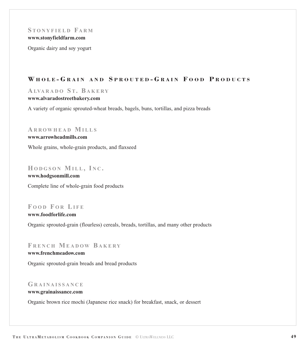#### **S TONYFIELD FARM [www.stonyfieldfarm.com](http://www.stonyfieldfarm.com)**

Organic dairy and soy yogurt

# **W HOLE - G RAIN AND S PROUTED - G RAIN F OOD P RODUCTS**

# **A LVA R A D O S T. B AKERY**

#### **[www.alvaradostreetbakery.com](http://www.alvaradostreetbakery.com)**

A variety of organic sprouted-wheat breads, bagels, buns, tortillas, and pizza breads

### **A R R OWHEAD MILLS**

#### **[www.arrowheadmills.com](http://www.arrowheadmills.com)**

Whole grains, whole-grain products, and flaxseed

#### **HODGSON MILL , I N C .**

**[www.hodgsonmill.com](http://www.hodgsonmill.com)** Complete line of whole-grain food products

# **F OOD F O R LIFE**

**[www.foodforlife.com](http://www.foodforlife.com)**

Organic sprouted-grain (flourless) cereals, breads, tortillas, and many other products

# **F RENCH MEADOW B AKERY**

### **[www.frenchmeadow.com](http://www.frenchmeadow.com)**

Organic sprouted-grain breads and bread products

#### **GRAINAISSANCE**

#### **[www.grainaissance.com](http://www.grainaissance.com)**

Organic brown rice mochi (Japanese rice snack) for breakfast, snack, or dessert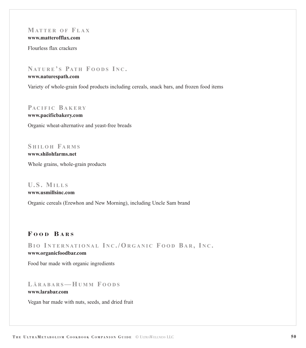# **MATTER OF F LAX**

**[www.matterofflax.com](http://www.matterofflax.com)**

Flourless flax crackers

# **NATURE ' S PATH F OODS I N C .**

#### **[www.naturespath.com](http://www.naturespath.com)**

Variety of whole-grain food products including cereals, snack bars, and frozen food items

### **PACIFIC B AKERY**

**[www.pacificbakery.com](http://www.pacificbakery.com)** Organic wheat-alternative and yeast-free breads

# **S HILOH FARMS**

**[www.shilohfarms.net](http://www.shilohfarms.net)** Whole grains, whole-grain products

# **U.S. MILLS**

### **[www.usmillsinc.com](http://www.usmillsinc.com)**

Organic cereals (Erewhon and New Morning), including Uncle Sam brand

# **F OOD B ARS**

**BI O I NTERNATIONAL I N C ./ORGANIC F OOD B A R , I N C .**

### **[www.organicfoodbar.com](http://www.organicfoodbar.com)**

Food bar made with organic ingredients

### **L ÄRABARS— HUMM F OODS [www.larabar.com](http://www.larabar.com)**

Vegan bar made with nuts, seeds, and dried fruit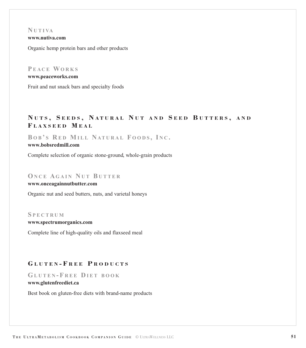#### **N U T I VA [www.nutiva.com](http://www.nutiva.com)**

Organic hemp protein bars and other products

# **P EACE WORKS**

**[www.peaceworks.com](http://www.peaceworks.com)**

Fruit and nut snack bars and specialty foods

# **N UTS , S EEDS , N ATURAL N UT AND S EED B UTTERS , AND F LAXSEED M EAL**

**B O B ' S R E D MILL NATURAL F OODS , I N C .**

#### **[www.bobsredmill.com](http://www.bobsredmill.com)**

Complete selection of organic stone-ground, whole-grain products

# **ONCE AGAIN N U T B UTTER**

#### **[www.onceagainnutbutter.com](http://www.onceagainnutbutter.com)**

Organic nut and seed butters, nuts, and varietal honeys

#### **S PECTRUM**

#### **[www.spectrumorganics.com](http://www.spectrumorganics.com)**

Complete line of high-quality oils and flaxseed meal

# **G LUTEN - F REE P RODUCTS**

**GLUTEN - F REE D IET BOOK**

#### **[www.glutenfreediet.ca](http://www.glutenfreediet.ca)**

Best book on gluten-free diets with brand-name products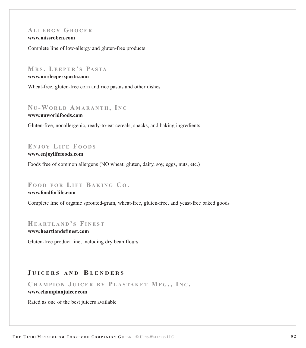# **A LLERGY GROCER**

**[www.missroben.com](http://www.missroben.com)**

Complete line of low-allergy and gluten-free products

#### **MR S . LEEPER ' S PASTA**

#### **[www.mrsleeperspasta.com](http://www.mrsleeperspasta.com)**

Wheat-free, gluten-free corn and rice pastas and other dishes

# **N U - WORLD A MARANTH , I N C**

**[www.nuworldfoods.com](http://www.nuworldfoods.com)**

Gluten-free, nonallergenic, ready-to-eat cereals, snacks, and baking ingredients

# **E NJOY LIFE F OODS**

**[www.enjoylifefoods.com](http://www.enjoylifefoods.com)**

Foods free of common allergens (NO wheat, gluten, dairy, soy, eggs, nuts, etc.)

### **F OOD FOR LIFE B AKING C O .**

#### **[www.foodforlife.com](http://www.foodforlife.com)**

Complete line of organic sprouted-grain, wheat-free, gluten-free, and yeast-free baked goods

#### **HEARTLAND ' S FINEST**

**[www.heartlandsfinest.com](http://www.heartlandsfinest.com)**

Gluten-free product line, including dry bean flours

# **J UICERS AND B LENDERS**

**C HAMPION J UICER BY P LASTAKET MF G ., I N C . [www.championjuicer.com](http://www.championjuicer.com)**

Rated as one of the best juicers available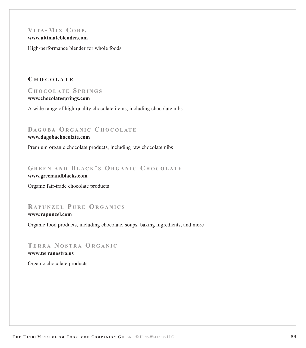# **V ITA - MI X C ORP.**

**[www.ultimateblender.com](http://www.ultimateblender.com)**

High-performance blender for whole foods

### **C HOCOLATE**

#### **C HOCOLATE S PRINGS**

#### **[www.chocolatesprings.com](http://www.chocolatesprings.com)**

A wide range of high-quality chocolate items, including chocolate nibs

### **DAGOBA ORGANIC CHOCOLATE**

#### **[www.dagobachocolate.com](http://www.dagobachocolate.com)**

Premium organic chocolate products, including raw chocolate nibs

# **GREEN AND BLACK ' S ORGANIC C HOCOLATE**

**[www.greenandblacks.com](http://www.greenandblacks.com)**

Organic fair-trade chocolate products

### **R APUNZEL P URE ORGANICS [www.rapunzel.com](http://www.rapunzel.com)**

Organic food products, including chocolate, soups, baking ingredients, and more

# **TERRA N OSTRA ORGANIC**

**[www.terranostra.us](http://www.terranostra.us)**

Organic chocolate products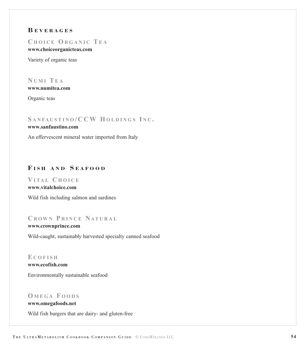# **B EVERAGES**

### **C HOICE ORGANIC TE A**

**[www.choiceorganicteas.com](http://www.choiceorganicteas.com)**

Variety of organic teas

#### **N UMI TE A [www.numitea.com](http://www.numitea.com)**

Organic teas

# **S ANFAUSTINO /CCW HOLDINGS I N C .**

#### **[www.sanfaustino.com](http://www.sanfaustino.com)**

An effervescent mineral water imported from Italy

# **F ISH AND S EAFOOD**

**V ITAL C HOICE [www.vitalchoice.com](http://www.vitalchoice.com)**

Wild fish including salmon and sardines

# **C ROWN P RINCE NATURAL**

**[www.crownprince.com](http://www.crownprince.com)** Wild-caught, sustainably harvested specialty canned seafood

**E COFISH [www.ecofish.com](http://www.ecofish.com)** Environmentally sustainable seafood

# **O MEGA F OODS**

### **[www.omegafoods.net](http://www.omegafoods.net)**

Wild fish burgers that are dairy- and gluten-free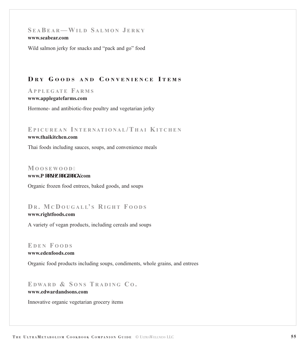### **S E A BEAR— WILD S ALMON J ERKY [www.seabear.com](http://www.seabear.com)**

Wild salmon jerky for snacks and "pack and go" food

# **D R Y G OODS AND C ONVENIENCE I TEMS**

#### **A PPLEGATE FARMS**

#### **[www.applegatefarms.com](http://www.applegatefarms.com)**

Hormone- and antibiotic-free poultry and vegetarian jerky

### **EPICUREAN I NTERN ATIONAL / T HAI KITCHEN**

#### **[www.thaikitchen.com](http://www.thaikitchen.com)**

Thai foods including sauces, soups, and convenience meals

#### **MOOSEWOOD**

#### www.o qqugy qqf lnqf u.com

Organic frozen food entrees, baked goods, and soups

# **D R . MC D OUGALL' S R IGHT F OODS**

#### **[www.rightfoods.com](http://www.rightfoods.com)**

A variety of vegan products, including cereals and soups

### **E DEN F OODS**

**[www.edenfoods.com](http://www.edenfoods.com)**

Organic food products including soups, condiments, whole grains, and entrees

# **E DWA R D & S ONS T RADING C O .**

#### **[www.edwardandsons.com](http://www.edwardandsons.com)**

Innovative organic vegetarian grocery items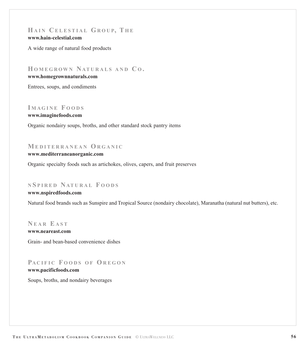# **HAIN C ELESTIAL GROUP, T H E**

#### **[www.hain-celestial.com](http://www.hain-celestial.com)**

A wide range of natural food products

**HOMEGROWN NATURALS AND C O .**

#### **[www.homegrownnaturals.com](http://www.homegrownnaturals.com)**

Entrees, soups, and condiments

# **I MAGINE F OODS**

**[www.imaginefoods.com](http://www.imaginefoods.com)**

Organic nondairy soups, broths, and other standard stock pantry items

# **MEDITERRANEAN ORGANIC**

#### **[www.mediterraneanorganic.com](http://www.mediterraneanorganic.com)**

Organic specialty foods such as artichokes, olives, capers, and fruit preserves

### **N S PIRED NATURAL F OODS**

#### **[www.nspiredfoods.com](http://www.nspiredfoods.com)**

Natural food brands such as Sunspire and Tropical Source (nondairy chocolate), Maranatha (natural nut butters), etc.

**N EAR E AST [www.neareast.com](http://www.neareast.com)** Grain- and bean-based convenience dishes

# **PA CIFIC F OODS O F OREGON**

#### **[www.pacificfoods.com](http://www.pacificfoods.com)**

Soups, broths, and nondairy beverages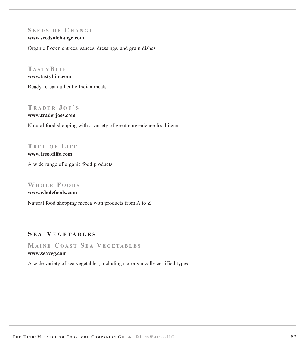# **S EEDS OF C HANGE**

**[www.seedsofchange.com](http://www.seedsofchange.com)**

Organic frozen entrees, sauces, dressings, and grain dishes

# **TASTY BITE**

### **[www.tastybite.com](http://www.tastybite.com)**

Ready-to-eat authentic Indian meals

# **T RADER J O E ' S**

**[www.traderjoes.com](http://www.traderjoes.com)** Natural food shopping with a variety of great convenience food items

**T REE OF LIFE**

**[www.treeoflife.com](http://www.treeoflife.com)** A wide range of organic food products

#### **WHOLE F OODS**

**[www.wholefoods.com](http://www.wholefoods.com)** Natural food shopping mecca with products from A to Z

# **S E A V EGET ABLES**

**MAINE C OAST S E A V EGETABLES**

#### **[www.seaveg.com](http://www.seaveg.com)**

A wide variety of sea vegetables, including six organically certified types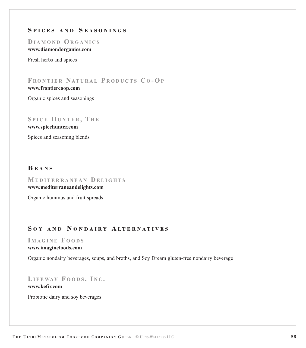# **S PICES AND S EASONINGS**

**D IAMOND ORGANICS**

### **[www.diamondorganics.com](http://www.diamondorganics.com)**

Fresh herbs and spices

**F RONTIER NATURAL P RODUCTS C O - OP [www.frontiercoop.com](http://www.frontiercoop.com)**

Organic spices and seasonings

# **S PICE HUNTER , T H E**

**[www.spicehunter.com](http://www.spicehunter.com)**

Spices and seasoning blends

# **B EANS**

**MEDITERRANEAN D ELIGHTS [www.mediterraneandelights.com](http://www.mediterraneandelights.com)**

Organic hummus and fruit spreads

# **S O Y AND N ONDAIR Y A L TERNA TIVES**

#### **I M AGINE F OODS**

#### **[www.imaginefoods.com](http://www.imaginefoods.com)**

Organic nondairy beverages, soups, and broths, and Soy Dream gluten-free nondairy beverage

**LIFEWAY F OODS , I N C .**

#### **[www.kefir.com](http://www.kefir.com)**

Probiotic dairy and soy beverages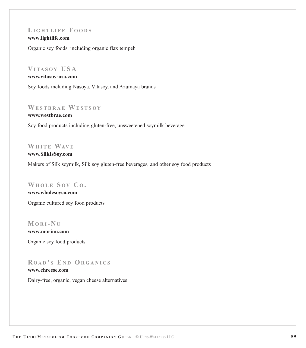# **LIGHTLIFE F OODS**

**[www.lightlife.com](http://www.lightlife.com)**

Organic soy foods, including organic flax tempeh

# **V ITASOY USA**

#### **[www.vitasoy-usa.com](http://www.vitasoy-usa.com)**

Soy foods including Nasoya, Vitasoy, and Azumaya brands

# **WESTBRAE WESTSOY**

**[www.westbrae.com](http://www.westbrae.com)**

Soy food products including gluten-free, unsweetened soymilk beverage

# **WHITE WAV E**

**[www.SilkIsSoy.com](http://www.silkissoy.com)**

Makers of Silk soymilk, Silk soy gluten-free beverages, and other soy food products

#### **WHOLE S OY C O .**

**[www.wholesoyco.com](http://www.wholesoyco.com)** Organic cultured soy food products

**MORI - N U [www.morinu.com](http://www.morinu.com)** Organic soy food products

# **R OA D ' S E N D ORGANICS [www.chreese.com](http://www.chreese.com)**

Dairy-free, organic, vegan cheese alternatives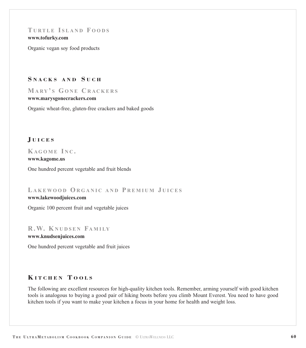# <span id="page-60-0"></span>**T URTLE I SLAND F OODS**

#### **[www.tofurky.com](http://www.tofurky.com)**

Organic vegan soy food products

#### **S NACKS AND S UCH**

# **MARY ' S GONE C RACKERS**

#### **[www.marysgonecrackers.com](http://www.marysgonecrackers.com)**

Organic wheat-free, gluten-free crackers and baked goods

### **J UICES**

# **KAGOME INC**.

#### **[www.kagome.us](http://www.kagome.us)**

One hundred percent vegetable and fruit blends

# **L AKEWOOD ORGANIC AND P REMIUM J UICES**

#### **[www.lakewoodjuices.com](http://www.lakewoodjuices.com)**

Organic 100 percent fruit and vegetable juices

### **R.W. KNUDSEN FAMILY**

#### **[www.knudsenjuices.com](http://www.knudsenjuices.com)**

One hundred percent vegetable and fruit juices

### **K ITCHEN T OOLS**

The following are excellent resources for high-quality kitchen tools. Remember, arming yourself with good kitchen tools is analogous to buying a good pair of hiking boots before you climb Mount Everest. You need to have good kitchen tools if you want to make your kitchen a focus in your home for health and weight loss.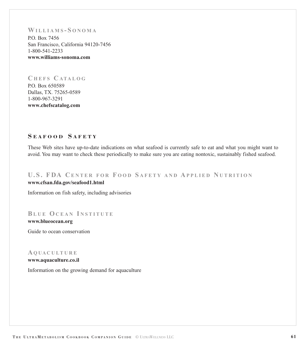# <span id="page-61-0"></span>**WILLIAMS - S ONOMA**

P.O. Box 7456 San Francisco, California 94120-7456 1-800-541-2233 **[www.williams-sonoma.com](http://www.williams-sonoma.com)**

# **C HEFS C ATALOG** P.O. Box 650589

Dallas, TX. 75265-0589 1-800-967-3291 **[www.chefscatalog.com](http://www.chefscatalog.com)**

# **S EAFOOD S AFETY**

These Web sites have up-to-date indications on what seafood is currently safe to eat and what you might want to avoid. You may want to check these periodically to make sure you are eating nontoxic, sustainably fished seafood.

# **U.S. FDA C ENTER FOR F OOD S AFETY AND A PPLIED N UTRITION [www.cfsan.fda.gov/seafood1.html](http://www.cfsan.fda.gov/seafood1.html)**

Information on fish safety, including advisories

# **BLUE OCEAN I NSTITUTE**

**[www.blueocean.org](http://www.blueocean.org)**

Guide to ocean conservation

#### **AQ UA CULTURE**

**[www.aquaculture.co.il](http://www.aquaculture.co.il/index.htm)**

Information on the growing demand for aquaculture